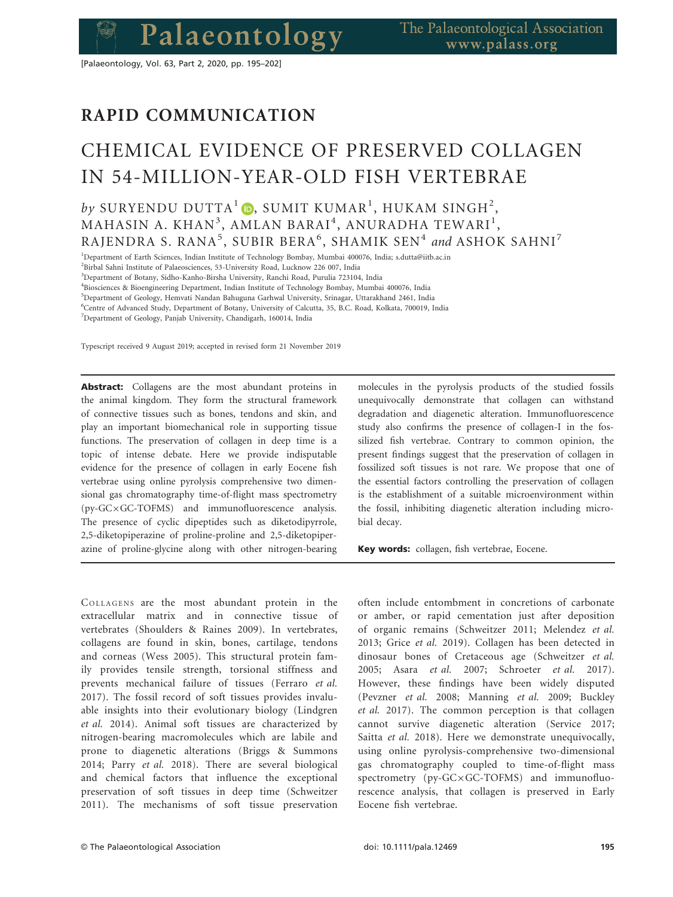[Palaeontology, Vol. 63, Part 2, 2020, pp. 195–202]

# RAPID COMMUNICATION

Palaeontology

# CHEMICAL EVIDENCE OF PRESERVED COLLAGEN IN 54-MILLION-YEAR-OLD FISH VERTEBRAE

# $by$  SURYENDU DUTTA $^1$   $\textcolor{red}{\bullet}$ , sumit kumar $^1$ , hukam singh $^2$ ,  $\mathbf{MAHASIN\;A.\;KHAN}^3,\ \mathbf{AMLAN\;BARAI}^4,\ \mathbf{ANURADHA\;TEWARI}^1,$ RAJENDRA S. RANA<sup>5</sup>, SUBIR BERA<sup>6</sup>, SHAMIK SEN<sup>4</sup> and ASHOK SAHNI<sup>7</sup>

<sup>1</sup>Department of Earth Sciences, Indian Institute of Technology Bombay, Mumbai 400076, India; s.dutta@iitb.ac.in

<sup>3</sup>Department of Botany, Sidho-Kanho-Birsha University, Ranchi Road, Purulia 723104, India

4 Biosciences & Bioengineering Department, Indian Institute of Technology Bombay, Mumbai 400076, India

<sup>5</sup>Department of Geology, Hemvati Nandan Bahuguna Garhwal University, Srinagar, Uttarakhand 2461, India

<sup>6</sup>Centre of Advanced Study, Department of Botany, University of Calcutta, 35, B.C. Road, Kolkata, 700019, India

<sup>7</sup>Department of Geology, Panjab University, Chandigarh, 160014, India

Typescript received 9 August 2019; accepted in revised form 21 November 2019

Abstract: Collagens are the most abundant proteins in the animal kingdom. They form the structural framework of connective tissues such as bones, tendons and skin, and play an important biomechanical role in supporting tissue functions. The preservation of collagen in deep time is a topic of intense debate. Here we provide indisputable evidence for the presence of collagen in early Eocene fish vertebrae using online pyrolysis comprehensive two dimensional gas chromatography time-of-flight mass spectrometry  $(py-GC \times GC-TOFMS)$  and immunofluorescence analysis. The presence of cyclic dipeptides such as diketodipyrrole, 2,5-diketopiperazine of proline-proline and 2,5-diketopiperazine of proline-glycine along with other nitrogen-bearing

COLLAGENS are the most abundant protein in the extracellular matrix and in connective tissue of vertebrates (Shoulders & Raines 2009). In vertebrates, collagens are found in skin, bones, cartilage, tendons and corneas (Wess 2005). This structural protein family provides tensile strength, torsional stiffness and prevents mechanical failure of tissues (Ferraro *et al.* 2017). The fossil record of soft tissues provides invaluable insights into their evolutionary biology (Lindgren *et al.* 2014). Animal soft tissues are characterized by nitrogen-bearing macromolecules which are labile and prone to diagenetic alterations (Briggs & Summons 2014; Parry *et al.* 2018). There are several biological and chemical factors that influence the exceptional preservation of soft tissues in deep time (Schweitzer 2011). The mechanisms of soft tissue preservation molecules in the pyrolysis products of the studied fossils unequivocally demonstrate that collagen can withstand degradation and diagenetic alteration. Immunofluorescence study also confirms the presence of collagen-I in the fossilized fish vertebrae. Contrary to common opinion, the present findings suggest that the preservation of collagen in fossilized soft tissues is not rare. We propose that one of the essential factors controlling the preservation of collagen is the establishment of a suitable microenvironment within the fossil, inhibiting diagenetic alteration including microbial decay.

Key words: collagen, fish vertebrae, Eocene.

often include entombment in concretions of carbonate or amber, or rapid cementation just after deposition of organic remains (Schweitzer 2011; Melendez *et al.* 2013; Grice *et al.* 2019). Collagen has been detected in dinosaur bones of Cretaceous age (Schweitzer *et al.* 2005; Asara *et al.* 2007; Schroeter *et al.* 2017). However, these findings have been widely disputed (Pevzner *et al.* 2008; Manning *et al.* 2009; Buckley *et al.* 2017). The common perception is that collagen cannot survive diagenetic alteration (Service 2017; Saitta *et al.* 2018). Here we demonstrate unequivocally, using online pyrolysis-comprehensive two-dimensional gas chromatography coupled to time-of-flight mass spectrometry (py-GC×GC-TOFMS) and immunofluorescence analysis, that collagen is preserved in Early Eocene fish vertebrae.

<sup>2</sup> Birbal Sahni Institute of Palaeosciences, 53-University Road, Lucknow 226 007, India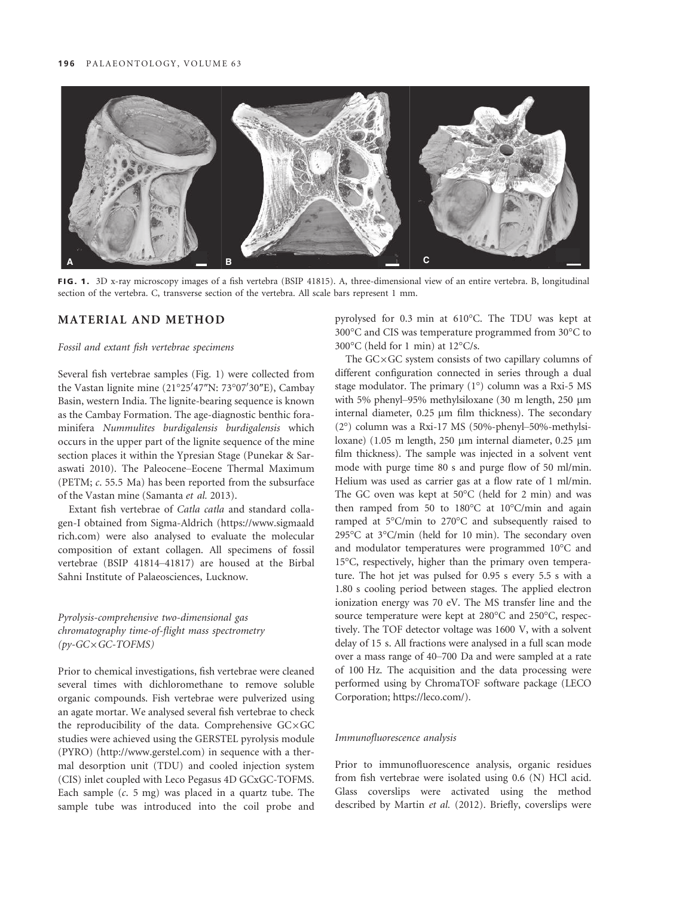

FIG. 1. 3D x-ray microscopy images of a fish vertebra (BSIP 41815). A, three-dimensional view of an entire vertebra. B, longitudinal section of the vertebra. C, transverse section of the vertebra. All scale bars represent 1 mm.

## MATERIAL AND METHOD

#### *Fossil and extant fish vertebrae specimens*

Several fish vertebrae samples (Fig. 1) were collected from the Vastan lignite mine (21°25'47"N: 73°07'30"E), Cambay Basin, western India. The lignite-bearing sequence is known as the Cambay Formation. The age-diagnostic benthic foraminifera *Nummulites burdigalensis burdigalensis* which occurs in the upper part of the lignite sequence of the mine section places it within the Ypresian Stage (Punekar & Saraswati 2010). The Paleocene–Eocene Thermal Maximum (PETM; *c*. 55.5 Ma) has been reported from the subsurface of the Vastan mine (Samanta *et al.* 2013).

Extant fish vertebrae of *Catla catla* and standard collagen-I obtained from Sigma-Aldrich (https://www.sigmaald rich.com) were also analysed to evaluate the molecular composition of extant collagen. All specimens of fossil vertebrae (BSIP 41814–41817) are housed at the Birbal Sahni Institute of Palaeosciences, Lucknow.

# *Pyrolysis-comprehensive two-dimensional gas chromatography time-of-flight mass spectrometry (py-GC*9*GC-TOFMS)*

Prior to chemical investigations, fish vertebrae were cleaned several times with dichloromethane to remove soluble organic compounds. Fish vertebrae were pulverized using an agate mortar. We analysed several fish vertebrae to check the reproducibility of the data. Comprehensive  $GCxGC$ studies were achieved using the GERSTEL pyrolysis module (PYRO) (http://www.gerstel.com) in sequence with a thermal desorption unit (TDU) and cooled injection system (CIS) inlet coupled with Leco Pegasus 4D GCxGC-TOFMS. Each sample (*c*. 5 mg) was placed in a quartz tube. The sample tube was introduced into the coil probe and pyrolysed for 0.3 min at 610°C. The TDU was kept at 300°C and CIS was temperature programmed from 30°C to 300°C (held for 1 min) at 12°C/s.

The  $GcxGC$  system consists of two capillary columns of different configuration connected in series through a dual stage modulator. The primary (1°) column was a Rxi-5 MS with 5% phenyl-95% methylsiloxane (30 m length, 250 µm internal diameter,  $0.25 \mu m$  film thickness). The secondary (2°) column was a Rxi-17 MS (50%-phenyl–50%-methylsiloxane) (1.05 m length, 250  $\mu$ m internal diameter, 0.25  $\mu$ m film thickness). The sample was injected in a solvent vent mode with purge time 80 s and purge flow of 50 ml/min. Helium was used as carrier gas at a flow rate of 1 ml/min. The GC oven was kept at 50°C (held for 2 min) and was then ramped from 50 to 180°C at 10°C/min and again ramped at 5°C/min to 270°C and subsequently raised to 295°C at 3°C/min (held for 10 min). The secondary oven and modulator temperatures were programmed 10°C and 15°C, respectively, higher than the primary oven temperature. The hot jet was pulsed for 0.95 s every 5.5 s with a 1.80 s cooling period between stages. The applied electron ionization energy was 70 eV. The MS transfer line and the source temperature were kept at 280°C and 250°C, respectively. The TOF detector voltage was 1600 V, with a solvent delay of 15 s. All fractions were analysed in a full scan mode over a mass range of 40–700 Da and were sampled at a rate of 100 Hz. The acquisition and the data processing were performed using by ChromaTOF software package (LECO Corporation; https://leco.com/).

#### *Immunofluorescence analysis*

Prior to immunofluorescence analysis, organic residues from fish vertebrae were isolated using 0.6 (N) HCl acid. Glass coverslips were activated using the method described by Martin *et al.* (2012). Briefly, coverslips were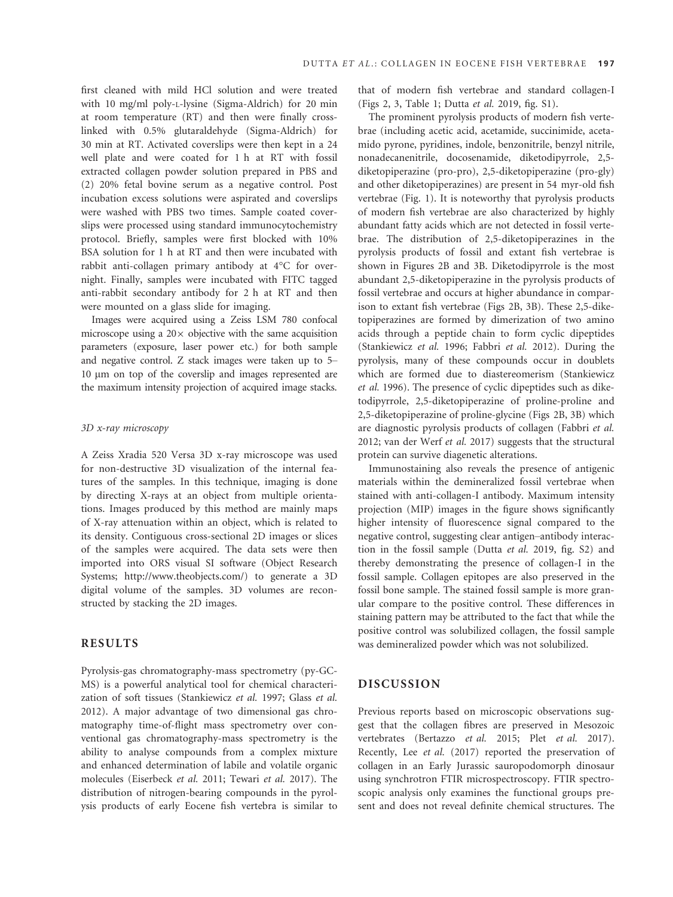first cleaned with mild HCl solution and were treated with 10 mg/ml poly-L-lysine (Sigma-Aldrich) for 20 min at room temperature (RT) and then were finally crosslinked with 0.5% glutaraldehyde (Sigma-Aldrich) for 30 min at RT. Activated coverslips were then kept in a 24 well plate and were coated for 1 h at RT with fossil extracted collagen powder solution prepared in PBS and (2) 20% fetal bovine serum as a negative control. Post incubation excess solutions were aspirated and coverslips were washed with PBS two times. Sample coated coverslips were processed using standard immunocytochemistry protocol. Briefly, samples were first blocked with 10% BSA solution for 1 h at RT and then were incubated with rabbit anti-collagen primary antibody at 4°C for overnight. Finally, samples were incubated with FITC tagged anti-rabbit secondary antibody for 2 h at RT and then were mounted on a glass slide for imaging.

Images were acquired using a Zeiss LSM 780 confocal microscope using a  $20 \times$  objective with the same acquisition parameters (exposure, laser power etc.) for both sample and negative control. Z stack images were taken up to 5– 10 lm on top of the coverslip and images represented are the maximum intensity projection of acquired image stacks.

#### *3D x-ray microscopy*

A Zeiss Xradia 520 Versa 3D x-ray microscope was used for non-destructive 3D visualization of the internal features of the samples. In this technique, imaging is done by directing X-rays at an object from multiple orientations. Images produced by this method are mainly maps of X-ray attenuation within an object, which is related to its density. Contiguous cross-sectional 2D images or slices of the samples were acquired. The data sets were then imported into ORS visual SI software (Object Research Systems; http://www.theobjects.com/) to generate a 3D digital volume of the samples. 3D volumes are reconstructed by stacking the 2D images.

## RESULTS

Pyrolysis-gas chromatography-mass spectrometry (py-GC-MS) is a powerful analytical tool for chemical characterization of soft tissues (Stankiewicz *et al.* 1997; Glass *et al.* 2012). A major advantage of two dimensional gas chromatography time-of-flight mass spectrometry over conventional gas chromatography-mass spectrometry is the ability to analyse compounds from a complex mixture and enhanced determination of labile and volatile organic molecules (Eiserbeck *et al.* 2011; Tewari *et al.* 2017). The distribution of nitrogen-bearing compounds in the pyrolysis products of early Eocene fish vertebra is similar to that of modern fish vertebrae and standard collagen-I (Figs 2, 3, Table 1; Dutta *et al.* 2019, fig. S1).

The prominent pyrolysis products of modern fish vertebrae (including acetic acid, acetamide, succinimide, acetamido pyrone, pyridines, indole, benzonitrile, benzyl nitrile, nonadecanenitrile, docosenamide, diketodipyrrole, 2,5 diketopiperazine (pro-pro), 2,5-diketopiperazine (pro-gly) and other diketopiperazines) are present in 54 myr-old fish vertebrae (Fig. 1). It is noteworthy that pyrolysis products of modern fish vertebrae are also characterized by highly abundant fatty acids which are not detected in fossil vertebrae. The distribution of 2,5-diketopiperazines in the pyrolysis products of fossil and extant fish vertebrae is shown in Figures 2B and 3B. Diketodipyrrole is the most abundant 2,5-diketopiperazine in the pyrolysis products of fossil vertebrae and occurs at higher abundance in comparison to extant fish vertebrae (Figs 2B, 3B). These 2,5-diketopiperazines are formed by dimerization of two amino acids through a peptide chain to form cyclic dipeptides (Stankiewicz *et al.* 1996; Fabbri *et al.* 2012). During the pyrolysis, many of these compounds occur in doublets which are formed due to diastereomerism (Stankiewicz *et al.* 1996). The presence of cyclic dipeptides such as diketodipyrrole, 2,5-diketopiperazine of proline-proline and 2,5-diketopiperazine of proline-glycine (Figs 2B, 3B) which are diagnostic pyrolysis products of collagen (Fabbri *et al.* 2012; van der Werf *et al.* 2017) suggests that the structural protein can survive diagenetic alterations.

Immunostaining also reveals the presence of antigenic materials within the demineralized fossil vertebrae when stained with anti-collagen-I antibody. Maximum intensity projection (MIP) images in the figure shows significantly higher intensity of fluorescence signal compared to the negative control, suggesting clear antigen–antibody interaction in the fossil sample (Dutta *et al.* 2019, fig. S2) and thereby demonstrating the presence of collagen-I in the fossil sample. Collagen epitopes are also preserved in the fossil bone sample. The stained fossil sample is more granular compare to the positive control. These differences in staining pattern may be attributed to the fact that while the positive control was solubilized collagen, the fossil sample was demineralized powder which was not solubilized.

#### DISCUSSION

Previous reports based on microscopic observations suggest that the collagen fibres are preserved in Mesozoic vertebrates (Bertazzo *et al.* 2015; Plet *et al.* 2017). Recently, Lee *et al.* (2017) reported the preservation of collagen in an Early Jurassic sauropodomorph dinosaur using synchrotron FTIR microspectroscopy. FTIR spectroscopic analysis only examines the functional groups present and does not reveal definite chemical structures. The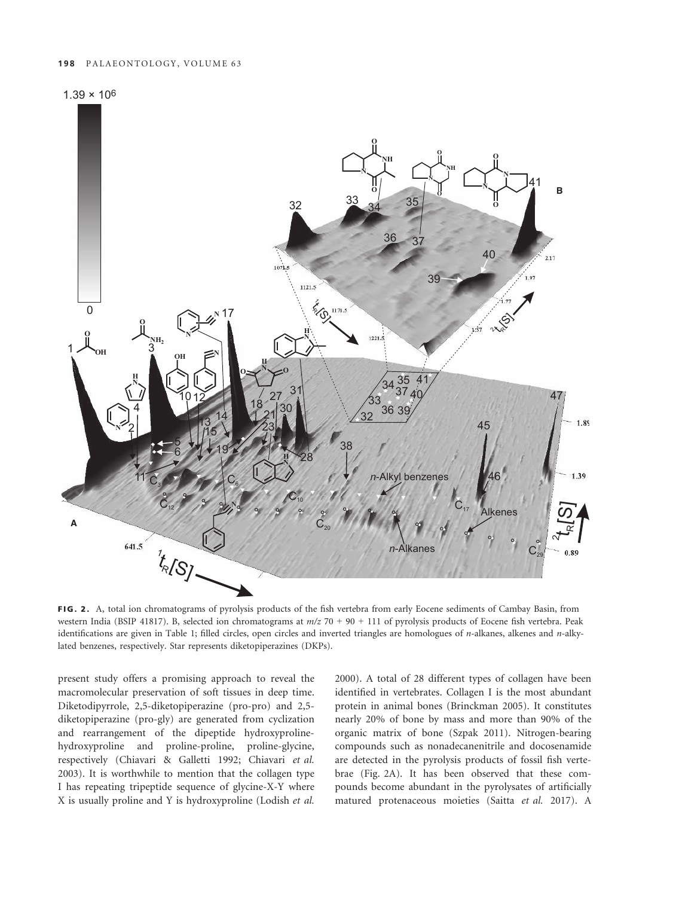



FIG. 2. A, total ion chromatograms of pyrolysis products of the fish vertebra from early Eocene sediments of Cambay Basin, from western India (BSIP 41817). B, selected ion chromatograms at *m/z* 70 + 90 + 111 of pyrolysis products of Eocene fish vertebra. Peak identifications are given in Table 1; filled circles, open circles and inverted triangles are homologues of *n*-alkanes, alkenes and *n*-alkylated benzenes, respectively. Star represents diketopiperazines (DKPs).

present study offers a promising approach to reveal the macromolecular preservation of soft tissues in deep time. Diketodipyrrole, 2,5-diketopiperazine (pro-pro) and 2,5 diketopiperazine (pro-gly) are generated from cyclization and rearrangement of the dipeptide hydroxyprolinehydroxyproline and proline-proline, proline-glycine, respectively (Chiavari & Galletti 1992; Chiavari *et al.* 2003). It is worthwhile to mention that the collagen type I has repeating tripeptide sequence of glycine-X-Y where X is usually proline and Y is hydroxyproline (Lodish *et al.*

2000). A total of 28 different types of collagen have been identified in vertebrates. Collagen I is the most abundant protein in animal bones (Brinckman 2005). It constitutes nearly 20% of bone by mass and more than 90% of the organic matrix of bone (Szpak 2011). Nitrogen-bearing compounds such as nonadecanenitrile and docosenamide are detected in the pyrolysis products of fossil fish vertebrae (Fig. 2A). It has been observed that these compounds become abundant in the pyrolysates of artificially matured protenaceous moieties (Saitta *et al.* 2017). A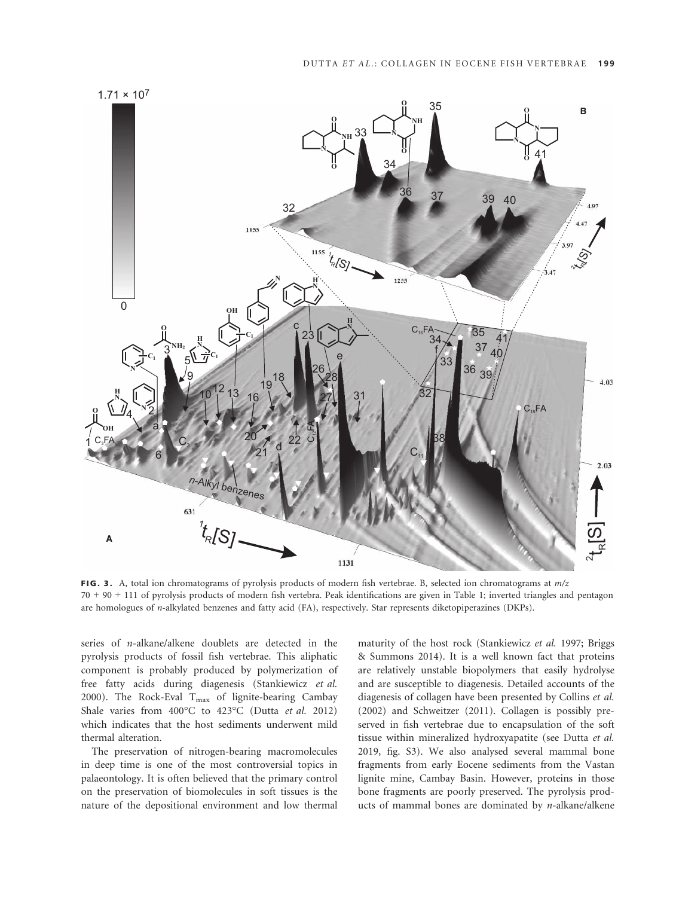

FIG. 3. A, total ion chromatograms of pyrolysis products of modern fish vertebrae. B, selected ion chromatograms at *m/z* 70 + 90 + 111 of pyrolysis products of modern fish vertebra. Peak identifications are given in Table 1; inverted triangles and pentagon are homologues of *n*-alkylated benzenes and fatty acid (FA), respectively. Star represents diketopiperazines (DKPs).

series of *n-*alkane/alkene doublets are detected in the pyrolysis products of fossil fish vertebrae. This aliphatic component is probably produced by polymerization of free fatty acids during diagenesis (Stankiewicz *et al.* 2000). The Rock-Eval  $T_{\text{max}}$  of lignite-bearing Cambay Shale varies from 400°C to 423°C (Dutta *et al.* 2012) which indicates that the host sediments underwent mild thermal alteration.

The preservation of nitrogen-bearing macromolecules in deep time is one of the most controversial topics in palaeontology. It is often believed that the primary control on the preservation of biomolecules in soft tissues is the nature of the depositional environment and low thermal maturity of the host rock (Stankiewicz *et al.* 1997; Briggs & Summons 2014). It is a well known fact that proteins are relatively unstable biopolymers that easily hydrolyse and are susceptible to diagenesis. Detailed accounts of the diagenesis of collagen have been presented by Collins *et al.* (2002) and Schweitzer (2011). Collagen is possibly preserved in fish vertebrae due to encapsulation of the soft tissue within mineralized hydroxyapatite (see Dutta *et al.* 2019, fig. S3). We also analysed several mammal bone fragments from early Eocene sediments from the Vastan lignite mine, Cambay Basin. However, proteins in those bone fragments are poorly preserved. The pyrolysis products of mammal bones are dominated by *n-*alkane/alkene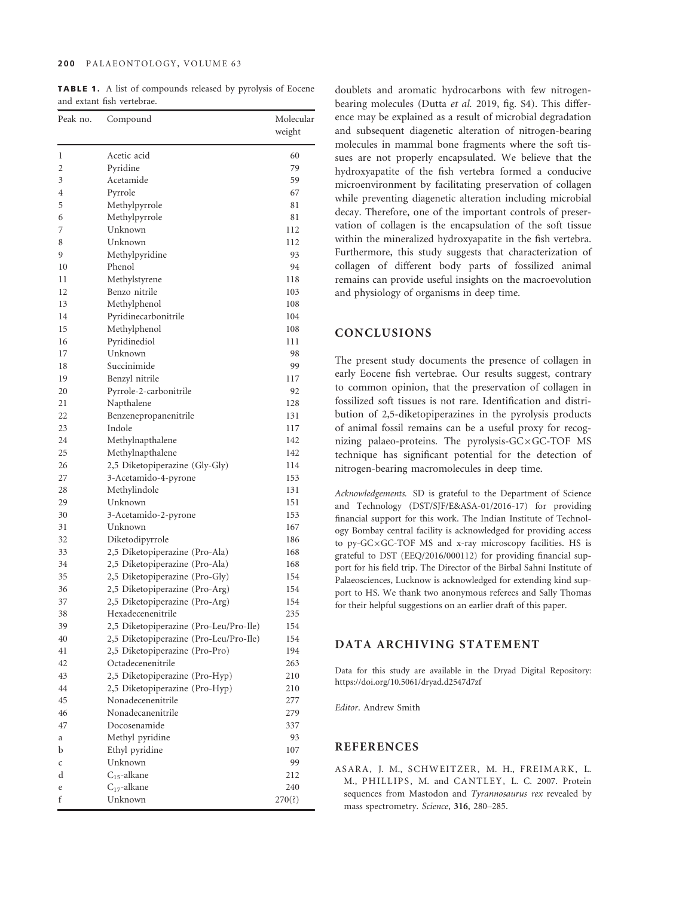#### 200 PALAEONTOLOGY, VOLUME 63

TABLE 1. A list of compounds released by pyrolysis of Eocene and extant fish vertebrae.

| Peak no. | Compound                               | Molecular<br>weight |
|----------|----------------------------------------|---------------------|
| 1        | Acetic acid                            | 60                  |
| 2        | Pyridine                               | 79                  |
| 3        | Acetamide                              | 59                  |
| 4        | Pyrrole                                | 67                  |
| 5        | Methylpyrrole                          | 81                  |
| 6        | Methylpyrrole                          | 81                  |
| 7        | Unknown                                | 112                 |
| 8        | Unknown                                | 112                 |
| 9        | Methylpyridine                         | 93                  |
| 10       | Phenol                                 | 94                  |
| 11       | Methylstyrene                          | 118                 |
| 12       | Benzo nitrile                          | 103                 |
| 13       | Methylphenol                           | 108                 |
| 14       | Pyridinecarbonitrile                   | 104                 |
| 15       | Methylphenol                           | 108                 |
| 16       | Pyridinediol                           | 111                 |
| 17       | Unknown                                | 98                  |
| 18       | Succinimide                            | 99                  |
| 19       | Benzyl nitrile                         | 117                 |
| 20       | Pyrrole-2-carbonitrile                 | 92                  |
| 21       | Napthalene                             | 128                 |
| 22       | Benzenepropanenitrile                  | 131                 |
| 23       | Indole                                 | 117                 |
| 24       | Methylnapthalene                       | 142                 |
| 25       | Methylnapthalene                       | 142                 |
| 26       | 2,5 Diketopiperazine (Gly-Gly)         | 114                 |
| 27       | 3-Acetamido-4-pyrone                   | 153                 |
| 28       | Methylindole                           | 131                 |
| 29       | Unknown                                | 151                 |
| 30       | 3-Acetamido-2-pyrone                   | 153                 |
| 31       | Unknown                                | 167                 |
| 32       | Diketodipyrrole                        | 186                 |
| 33       | 2,5 Diketopiperazine (Pro-Ala)         | 168                 |
| 34       | 2,5 Diketopiperazine (Pro-Ala)         | 168                 |
| 35       | 2,5 Diketopiperazine (Pro-Gly)         | 154                 |
| 36       | 2,5 Diketopiperazine (Pro-Arg)         | 154                 |
| 37       | 2,5 Diketopiperazine (Pro-Arg)         | 154                 |
| 38       | Hexadecenenitrile                      | 235                 |
| 39       | 2,5 Diketopiperazine (Pro-Leu/Pro-Ile) | 154                 |
| 40       | 2,5 Diketopiperazine (Pro-Leu/Pro-Ile) | 154                 |
| 41       | 2,5 Diketopiperazine (Pro-Pro)         | 194                 |
| 42       | Octadecenenitrile                      | 263                 |
| 43       | 2,5 Diketopiperazine (Pro-Hyp)         | 210                 |
| 44       | 2,5 Diketopiperazine (Pro-Hyp)         | 210                 |
| 45       | Nonadecenenitrile                      | 277                 |
| 46       | Nonadecanenitrile                      | 279                 |
| 47       | Docosenamide                           | 337                 |
| а        | Methyl pyridine                        | 93                  |
| b        | Ethyl pyridine                         | 107                 |
| C        | Unknown                                | 99                  |
| d        | $C_{15}$ -alkane                       | 212                 |
| e        | $C_{17}$ -alkane                       | 240                 |
| f        | Unknown                                | 270(?)              |

doublets and aromatic hydrocarbons with few nitrogenbearing molecules (Dutta *et al.* 2019, fig. S4). This difference may be explained as a result of microbial degradation and subsequent diagenetic alteration of nitrogen-bearing molecules in mammal bone fragments where the soft tissues are not properly encapsulated. We believe that the hydroxyapatite of the fish vertebra formed a conducive microenvironment by facilitating preservation of collagen while preventing diagenetic alteration including microbial decay. Therefore, one of the important controls of preservation of collagen is the encapsulation of the soft tissue within the mineralized hydroxyapatite in the fish vertebra. Furthermore, this study suggests that characterization of collagen of different body parts of fossilized animal remains can provide useful insights on the macroevolution and physiology of organisms in deep time.

# CONCLUSIONS

The present study documents the presence of collagen in early Eocene fish vertebrae. Our results suggest, contrary to common opinion, that the preservation of collagen in fossilized soft tissues is not rare. Identification and distribution of 2,5-diketopiperazines in the pyrolysis products of animal fossil remains can be a useful proxy for recognizing palaeo-proteins. The pyrolysis- $GC \times GC$ -TOF MS technique has significant potential for the detection of nitrogen-bearing macromolecules in deep time.

*Acknowledgements.* SD is grateful to the Department of Science and Technology (DST/SJF/E&ASA-01/2016-17) for providing financial support for this work. The Indian Institute of Technology Bombay central facility is acknowledged for providing access to py- $GC \times GC$ -TOF MS and x-ray microscopy facilities. HS is grateful to DST (EEQ/2016/000112) for providing financial support for his field trip. The Director of the Birbal Sahni Institute of Palaeosciences, Lucknow is acknowledged for extending kind support to HS. We thank two anonymous referees and Sally Thomas for their helpful suggestions on an earlier draft of this paper.

## DATA ARCHIVING STATEMENT

Data for this study are available in the Dryad Digital Repository: https://doi.org/10.5061/dryad.d2547d7zf

*Editor*. Andrew Smith

# **REFERENCES**

ASARA, J. M., SCHWEITZER, M. H., FREIMARK, L. M., PHILLIPS, M. and CANTLEY, L. C. 2007. Protein sequences from Mastodon and *Tyrannosaurus rex* revealed by mass spectrometry. *Science*, 316, 280–285.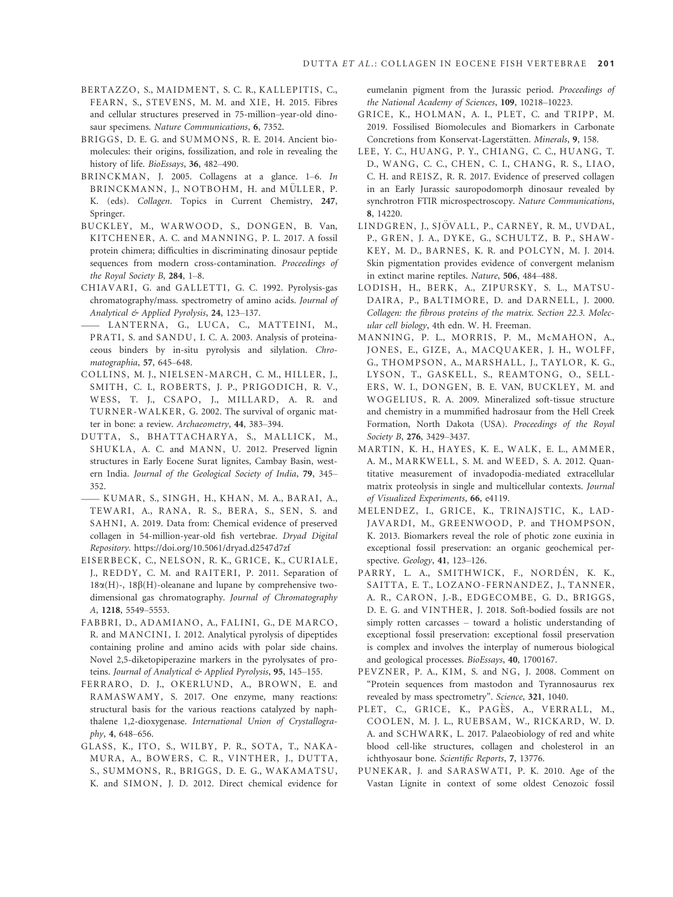- BERTAZZO, S., MAIDMENT, S. C. R., KALLEPITIS, C., FEARN, S., STEVENS, M. M. and XIE, H. 2015. Fibres and cellular structures preserved in 75-million–year-old dinosaur specimens. *Nature Communications*, 6, 7352.
- BR IGGS, D. E. G. and SUMMONS, R. E. 2014. Ancient biomolecules: their origins, fossilization, and role in revealing the history of life. *BioEssays*, 36, 482–490.
- BR INCKMAN, J. 2005. Collagens at a glance. 1–6. *In* BRINCKMANN, J., NOTBOHM, H. and MÜLLER, P. K. (eds). *Collagen*. Topics in Current Chemistry, 247, Springer.
- BUCKLEY, M., WARWOOD, S., DONGEN, B. Van, KITCHENER, A. C. and MANNING, P. L. 2017. A fossil protein chimera; difficulties in discriminating dinosaur peptide sequences from modern cross-contamination. *Proceedings of the Royal Society B*, 284, 1–8.
- CHIAVARI, G. and GALLETTI, G. C. 1992. Pyrolysis-gas chromatography/mass. spectrometry of amino acids. *Journal of Analytical & Applied Pyrolysis*, 24, 123–137. the Royal Society B, 284, 1–8.<br>CHIAVARI, G. and GALLETTI, G. C. 1992. Pyrolysis-gas<br>chromatography/mass. spectrometry of amino acids. Journal of<br>Analytical & Applied Pyrolysis, 24, 123–137.<br>—— LANTERNA, G., LUCA, C., MATTE
- PRATI, S. and SANDU, I. C. A. 2003. Analysis of proteinaceous binders by in-situ pyrolysis and silylation. *Chromatographia*, 57, 645–648.
- COLLINS, M. J., NIELSEN-MARCH, C. M., HILLER, J., SMITH, C. I., ROBERTS, J. P., PRIGODICH, R. V., WESS, T. J., CSAPO, J., MILLARD, A. R. and TURNER-WALKER, G. 2002. The survival of organic matter in bone: a review. *Archaeometry*, 44, 383–394.
- DUTTA, S., BHATTACHARYA, S., MALLICK, M., SHUKLA, A. C. and MANN, U. 2012. Preserved lignin structures in Early Eocene Surat lignites, Cambay Basin, western India. *Journal of the Geological Society of India*, 79, 345– 352. -KUMAR, S., S INGH, H., KHAN, M. A., BARA I, A.,
- TEWARI, A., RANA, R. S., BERA, S., SEN, S. and SAHNI, A. 2019. Data from: Chemical evidence of preserved collagen in 54-million-year-old fish vertebrae. *Dryad Digital Repository*. https://doi.org/10.5061/dryad.d2547d7zf
- EISERBECK, C., NELSON, R. K., GRICE, K., CURIALE, J., REDDY, C. M. and RAITERI, P. 2011. Separation of  $18\alpha(H)$ -,  $18\beta(H)$ -oleanane and lupane by comprehensive twodimensional gas chromatography. *Journal of Chromatography A*, 1218, 5549–5553.
- FABBRI, D., ADAMIANO, A., FALINI, G., DE MARCO, R. and MANCINI, I. 2012. Analytical pyrolysis of dipeptides containing proline and amino acids with polar side chains. Novel 2,5-diketopiperazine markers in the pyrolysates of proteins. *Journal of Analytical & Applied Pyrolysis*, 95, 145–155.
- FERRARO, D. J., OKERLUND, A., BROWN, E. and RAMASWAMY, S. 2017. One enzyme, many reactions: structural basis for the various reactions catalyzed by naphthalene 1,2-dioxygenase. *International Union of Crystallography*, 4, 648–656.
- GLASS, K., ITO, S., WILBY, P. R., SOTA, T., NAKA-MURA, A., BOWERS, C. R., VINTHER, J., DUTTA, S., SUMMONS, R., BR IGGS, D. E. G., WAKAMATSU, K. and SIMON, J. D. 2012. Direct chemical evidence for

eumelanin pigment from the Jurassic period. *Proceedings of the National Academy of Sciences*, 109, 10218–10223.

- GRICE, K., HOLMAN, A. I., PLET, C. and TRIPP, M. 2019. Fossilised Biomolecules and Biomarkers in Carbonate Concretions from Konservat-Lagerstätten. *Minerals*, 9, 158.
- LEE, Y. C., HUANG, P. Y., CHIANG, C. C., HUANG, T. D., WANG, C. C., CHEN, C. I., CHANG, R. S., LIAO, C. H. and REISZ, R. R. 2017. Evidence of preserved collagen in an Early Jurassic sauropodomorph dinosaur revealed by synchrotron FTIR microspectroscopy. *Nature Communications*, 8, 14220.
- LINDGREN, J., SJÖVALL, P., CARNEY, R. M., UVDAL, P., GREN, J. A., DYKE, G., SCHULTZ, B. P., SHAW-KEY, M. D., BARNES, K. R. and POLCYN, M. J. 2014. Skin pigmentation provides evidence of convergent melanism in extinct marine reptiles. *Nature*, 506, 484–488.
- LODISH, H., BERK, A., ZIPURSKY, S. L., MATSU-DAIRA, P., BALTIMORE, D. and DARNELL, J. 2000. *Collagen: the fibrous proteins of the matrix. Section 22.3. Molecular cell biology*, 4th edn. W. H. Freeman.
- MANNING, P. L., MORRIS, P. M., MCMAHON, A., JONES, E., GIZE, A., MACQUAKER, J. H., WOLFF, G., THOMPSON, A., MARSHALL, J., TAYLOR, K. G., LYSON, T., GASKELL, S., REAMTONG, O., SELL-ERS, W. I., DONGEN, B. E. VAN, BUCKLEY, M. and WOGELIUS, R. A. 2009. Mineralized soft-tissue structure and chemistry in a mummified hadrosaur from the Hell Creek Formation, North Dakota (USA). *Proceedings of the Royal Society B*, 276, 3429–3437.
- MARTIN, K. H., HAYES, K. E., WALK, E. L., AMMER, A. M., MARKWELL, S. M. and WEED, S. A. 2012. Quantitative measurement of invadopodia-mediated extracellular matrix proteolysis in single and multicellular contexts. *Journal of Visualized Experiments*, 66, e4119.
- MELENDEZ, I., GRICE, K., TRINAJSTIC, K., LAD-JAVARDI, M., GREENWOOD, P. and THOMPSON, K. 2013. Biomarkers reveal the role of photic zone euxinia in exceptional fossil preservation: an organic geochemical perspective. *Geology*, 41, 123–126.
- PARRY, L. A., SMITHWICK, F., NORDÉN, K. K., SAITTA, E. T., LOZANO-FERNANDEZ, J., TANNER, A. R., CARON, J.-B., EDGECOMBE, G. D., BRIGGS, D. E. G. and VINTHER, J. 2018. Soft-bodied fossils are not simply rotten carcasses – toward a holistic understanding of exceptional fossil preservation: exceptional fossil preservation is complex and involves the interplay of numerous biological and geological processes. *BioEssays*, 40, 1700167.
- PEVZNER, P. A., KIM, S. and NG, J. 2008. Comment on "Protein sequences from mastodon and Tyrannosaurus rex revealed by mass spectrometry". *Science*, 321, 1040.
- PLET, C., GRICE, K., PAGÈS, A., VERRALL, M., COOLEN, M. J. L., RUEBSAM, W., RICKARD, W. D. A. and SCHWARK, L. 2017. Palaeobiology of red and white blood cell-like structures, collagen and cholesterol in an ichthyosaur bone. *Scientific Reports*, 7, 13776.
- PUNEKAR, J. and SARASWATI, P. K. 2010. Age of the Vastan Lignite in context of some oldest Cenozoic fossil